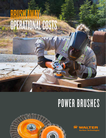# BRUSH AWAY OPERATIONAL COSTS

# POWER BRUSHES





Q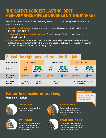## THE SAFEST, LONGEST LASTING, BEST PERFORMANCE POWER BRUSHES ON THE MARKET

WALTER power brushes have been engineered to provide the highest performance and productivity.

- Superior brush design means every knot is perfectly balanced for minimal vibration and maximum comfort.
- High quality industry grade materials for the longest life, which translates into less brushes used.
- Safety features internal steel plate holds wires securely in place even under extreme pressure for maximum strength. This allows end users to achieve their desired finish safely. All power brushes meet ANSI B7.1 safety standards.

## Select the right power brush for the job



## **Factor to consider in brushing** Wire construction

#### *PRO TIP:*

*Use with a variable speed grinder (lower RPM) to extend brush life!*



### CRIMPED WIRE

Perfect for light surface cleaning, rust and paint removal.



### KNOT-TWISTED

For heavy-duty brushing such as: deburring, weld edge cleaning, removal of scale, spatter, heavy rust and corrosion, etc.



#### STRINGER BEAD

Stringer bead brushes are extra narrow to clean in tight areas such as between weld passes in pipe fitting.

#### DOUBLE KNOT-TWISTED

Helps end users work 2x faster on large surfaces. Requires less torque from the power tool being used and delivers the same efficiency.

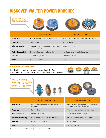## DISCOVER WALTER POWER BRUSHES

*Ask your Territory Manager about our full lineup and full sku listing.*





|                               | <b>WIRE CUP BRUSHES</b>                                                         | <b>SAUCER CUP BRUSHES</b>                                   |
|-------------------------------|---------------------------------------------------------------------------------|-------------------------------------------------------------|
| <b>Application</b>            | High-performance brushing on large flat surfaces                                | For hard-to-reach areas: inside corners, edges and contours |
| <b>Power tool</b>             | For angle grinders                                                              | For angle grinders                                          |
| <b>Wire construction</b>      | Crimped, Knot-Twisted, Knot-Twisted with ring, Double<br>Knot-Twisted with ring | Crimped, Knot-Twisted                                       |
| <b>Material compatibility</b> | Both blue and orange coloured hubs available                                    | Both blue and orange coloured hubs available                |
| <b>Wire size</b>              | $0.0118$ ", $0.015$ ", $0.020$ ", $0.035$ "                                     | $0.012$ ", $0.015$ ", $0.020$ "                             |
| <b>Series</b>                 | 13-D, 13-E, 13-F, 13-G                                                          | $13-H$                                                      |

#### KNOT-TWISTED WITH RING

Knot-Twisted with ring controls flaring to extend brush life. Once worn down to the ring, it can be removed to expose more wire for extra brush life.









|                               | <b>MOUNTED WIRE BRUSHES *</b>                                          | <b>WIRE WHEEL BRUSHES</b>                                                                           |
|-------------------------------|------------------------------------------------------------------------|-----------------------------------------------------------------------------------------------------|
| <b>Application</b>            | For general surface cleaning, deburring, corrosion and<br>rust removal | Commonly used to remove paint, rust and corrosion, for<br>light deburring and similar cleaning jobs |
| <b>Power tool</b>             | For drill / die grinders                                               | For angle grinders, bench and pedestrial grinders                                                   |
| <b>Wire construction</b>      | Crimped, Knot-Twisted                                                  | Stringer Bead, Knot-Twisted, Crimped                                                                |
| <b>Material compatibility</b> | Both blue and orange coloured hubs available                           | Both blue and orange coloured hubs available                                                        |
| Wire size                     | $0.008$ ", $0.010$ ", $0.0118$ ", $0.014$ ", $0.020$ "                 | $0.0118$ ", $0.020$ "                                                                               |
| <b>Series</b>                 | $13-C$                                                                 | 13-J, 13-K, 13-L, 13-B                                                                              |

*\* Mounted Wire Brushes are available in types: Straight, Conical, Wheel, Spherical and Cup.*